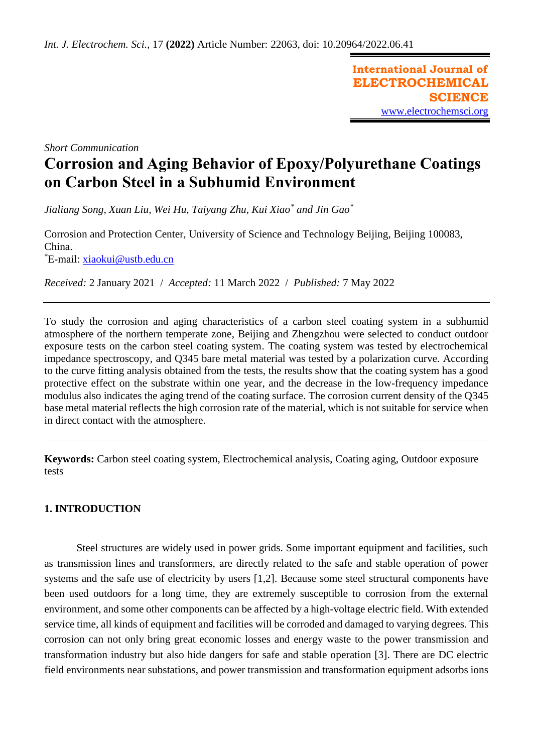**International Journal of ELECTROCHEMICAL SCIENCE** [www.electrochemsci.org](http://www.electrochemsci.org/)

*Short Communication*

# **Corrosion and Aging Behavior of Epoxy/Polyurethane Coatings on Carbon Steel in a Subhumid Environment**

*Jialiang Song, Xuan Liu, Wei Hu, Taiyang Zhu, Kui Xiao\* and Jin Gao\**

Corrosion and Protection Center, University of Science and Technology Beijing, Beijing 100083, China. \*E-mail: [xiaokui@ustb.edu.cn](mailto:xiaokui@ustb.edu.cn)

*Received:* 2 January 2021/ *Accepted:* 11 March 2022 / *Published:* 7 May 2022

To study the corrosion and aging characteristics of a carbon steel coating system in a subhumid atmosphere of the northern temperate zone, Beijing and Zhengzhou were selected to conduct outdoor exposure tests on the carbon steel coating system. The coating system was tested by electrochemical impedance spectroscopy, and Q345 bare metal material was tested by a polarization curve. According to the curve fitting analysis obtained from the tests, the results show that the coating system has a good protective effect on the substrate within one year, and the decrease in the low-frequency impedance modulus also indicates the aging trend of the coating surface. The corrosion current density of the Q345 base metal material reflects the high corrosion rate of the material, which is not suitable for service when in direct contact with the atmosphere.

**Keywords:** Carbon steel coating system, Electrochemical analysis, Coating aging, Outdoor exposure tests

# **1. INTRODUCTION**

Steel structures are widely used in power grids. Some important equipment and facilities, such as transmission lines and transformers, are directly related to the safe and stable operation of power systems and the safe use of electricity by users [1,2]. Because some steel structural components have been used outdoors for a long time, they are extremely susceptible to corrosion from the external environment, and some other components can be affected by a high-voltage electric field. With extended service time, all kinds of equipment and facilities will be corroded and damaged to varying degrees. This corrosion can not only bring great economic losses and energy waste to the power transmission and transformation industry but also hide dangers for safe and stable operation [3]. There are DC electric field environments near substations, and power transmission and transformation equipment adsorbs ions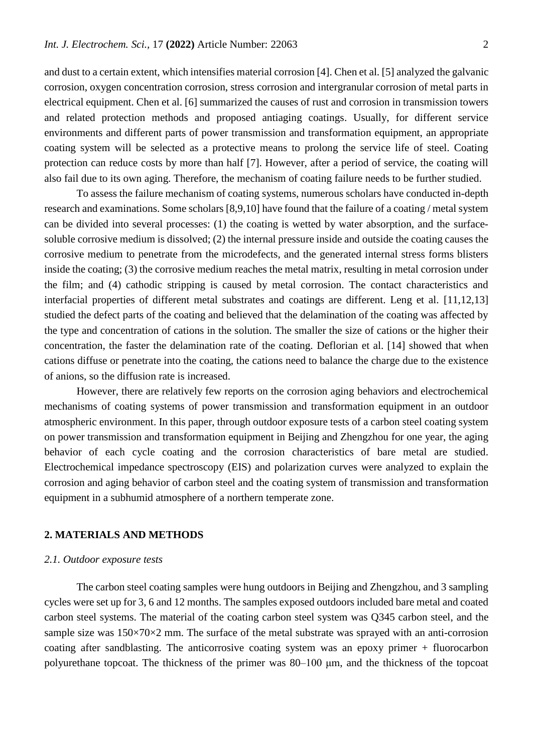and dust to a certain extent, which intensifies material corrosion [4]. Chen et al. [5] analyzed the galvanic corrosion, oxygen concentration corrosion, stress corrosion and intergranular corrosion of metal parts in electrical equipment. Chen et al. [6] summarized the causes of rust and corrosion in transmission towers and related protection methods and proposed antiaging coatings. Usually, for different service environments and different parts of power transmission and transformation equipment, an appropriate coating system will be selected as a protective means to prolong the service life of steel. Coating protection can reduce costs by more than half [7]. However, after a period of service, the coating will also fail due to its own aging. Therefore, the mechanism of coating failure needs to be further studied.

To assess the failure mechanism of coating systems, numerous scholars have conducted in-depth research and examinations. Some scholars [8,9,10] have found that the failure of a coating / metal system can be divided into several processes: (1) the coating is wetted by water absorption, and the surfacesoluble corrosive medium is dissolved; (2) the internal pressure inside and outside the coating causes the corrosive medium to penetrate from the microdefects, and the generated internal stress forms blisters inside the coating; (3) the corrosive medium reaches the metal matrix, resulting in metal corrosion under the film; and (4) cathodic stripping is caused by metal corrosion. The contact characteristics and interfacial properties of different metal substrates and coatings are different. Leng et al. [11,12,13] studied the defect parts of the coating and believed that the delamination of the coating was affected by the type and concentration of cations in the solution. The smaller the size of cations or the higher their concentration, the faster the delamination rate of the coating. Deflorian et al. [14] showed that when cations diffuse or penetrate into the coating, the cations need to balance the charge due to the existence of anions, so the diffusion rate is increased.

However, there are relatively few reports on the corrosion aging behaviors and electrochemical mechanisms of coating systems of power transmission and transformation equipment in an outdoor atmospheric environment. In this paper, through outdoor exposure tests of a carbon steel coating system on power transmission and transformation equipment in Beijing and Zhengzhou for one year, the aging behavior of each cycle coating and the corrosion characteristics of bare metal are studied. Electrochemical impedance spectroscopy (EIS) and polarization curves were analyzed to explain the corrosion and aging behavior of carbon steel and the coating system of transmission and transformation equipment in a subhumid atmosphere of a northern temperate zone.

## **2. MATERIALS AND METHODS**

#### *2.1. Outdoor exposure tests*

The carbon steel coating samples were hung outdoors in Beijing and Zhengzhou, and 3 sampling cycles were set up for 3, 6 and 12 months. The samples exposed outdoors included bare metal and coated carbon steel systems. The material of the coating carbon steel system was Q345 carbon steel, and the sample size was  $150\times70\times2$  mm. The surface of the metal substrate was sprayed with an anti-corrosion coating after sandblasting. The anticorrosive coating system was an epoxy primer + fluorocarbon polyurethane topcoat. The thickness of the primer was 80–100 μm, and the thickness of the topcoat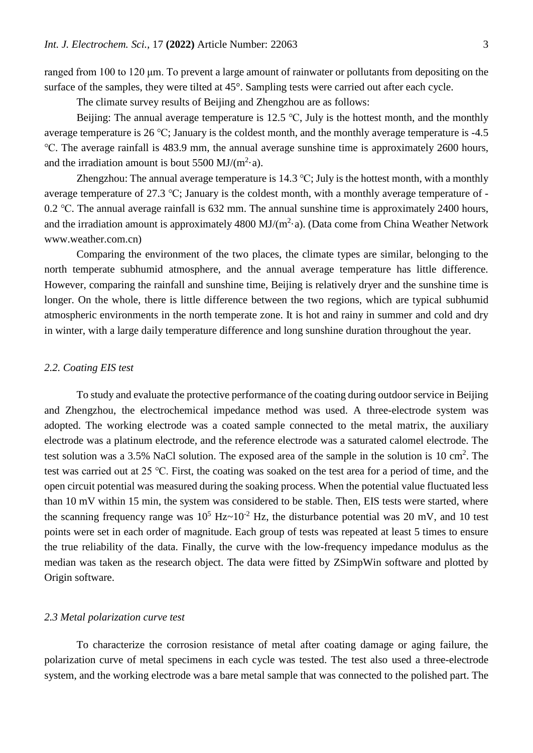ranged from 100 to 120 μm. To prevent a large amount of rainwater or pollutants from depositing on the surface of the samples, they were tilted at 45°. Sampling tests were carried out after each cycle.

The climate survey results of Beijing and Zhengzhou are as follows:

Beijing: The annual average temperature is 12.5  $\degree$ C, July is the hottest month, and the monthly average temperature is 26 ℃; January is the coldest month, and the monthly average temperature is -4.5 ℃. The average rainfall is 483.9 mm, the annual average sunshine time is approximately 2600 hours, and the irradiation amount is bout 5500 MJ/ $(m^2 \cdot a)$ .

Zhengzhou: The annual average temperature is 14.3 °C; July is the hottest month, with a monthly average temperature of 27.3 ℃; January is the coldest month, with a monthly average temperature of - 0.2 ℃. The annual average rainfall is 632 mm. The annual sunshine time is approximately 2400 hours, and the irradiation amount is approximately 4800 MJ/ $(m^2 \cdot a)$ . (Data come from China Weather Network www.weather.com.cn)

Comparing the environment of the two places, the climate types are similar, belonging to the north temperate subhumid atmosphere, and the annual average temperature has little difference. However, comparing the rainfall and sunshine time, Beijing is relatively dryer and the sunshine time is longer. On the whole, there is little difference between the two regions, which are typical subhumid atmospheric environments in the north temperate zone. It is hot and rainy in summer and cold and dry in winter, with a large daily temperature difference and long sunshine duration throughout the year.

## *2.2. Coating EIS test*

To study and evaluate the protective performance of the coating during outdoor service in Beijing and Zhengzhou, the electrochemical impedance method was used. A three-electrode system was adopted. The working electrode was a coated sample connected to the metal matrix, the auxiliary electrode was a platinum electrode, and the reference electrode was a saturated calomel electrode. The test solution was a 3.5% NaCl solution. The exposed area of the sample in the solution is  $10 \text{ cm}^2$ . The test was carried out at 25 ℃. First, the coating was soaked on the test area for a period of time, and the open circuit potential was measured during the soaking process. When the potential value fluctuated less than 10 mV within 15 min, the system was considered to be stable. Then, EIS tests were started, where the scanning frequency range was  $10^5$  Hz $\sim$ 10<sup>-2</sup> Hz, the disturbance potential was 20 mV, and 10 test points were set in each order of magnitude. Each group of tests was repeated at least 5 times to ensure the true reliability of the data. Finally, the curve with the low-frequency impedance modulus as the median was taken as the research object. The data were fitted by ZSimpWin software and plotted by Origin software.

#### *2.3 Metal polarization curve test*

To characterize the corrosion resistance of metal after coating damage or aging failure, the polarization curve of metal specimens in each cycle was tested. The test also used a three-electrode system, and the working electrode was a bare metal sample that was connected to the polished part. The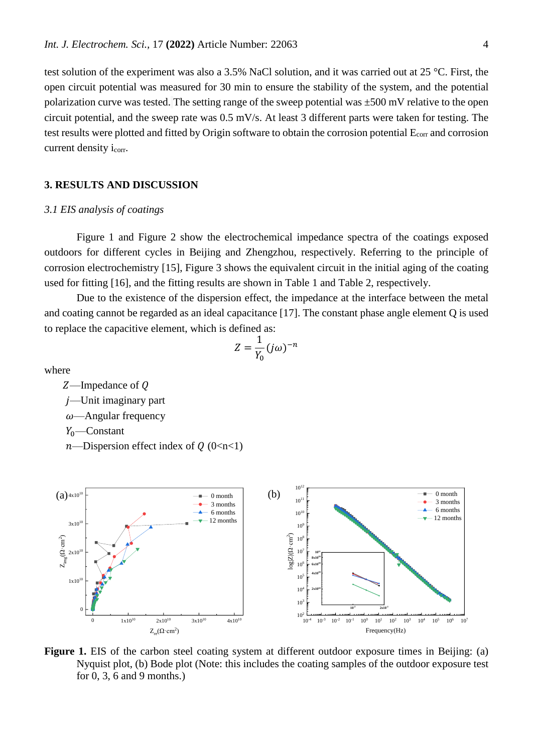test solution of the experiment was also a 3.5% NaCl solution, and it was carried out at 25 °C. First, the open circuit potential was measured for 30 min to ensure the stability of the system, and the potential polarization curve was tested. The setting range of the sweep potential was  $\pm 500$  mV relative to the open circuit potential, and the sweep rate was 0.5 mV/s. At least 3 different parts were taken for testing. The test results were plotted and fitted by Origin software to obtain the corrosion potential Ecorr and corrosion current density i<sub>corr</sub>.

## **3. RESULTS AND DISCUSSION**

## *3.1 EIS analysis of coatings*

Figure 1 and Figure 2 show the electrochemical impedance spectra of the coatings exposed outdoors for different cycles in Beijing and Zhengzhou, respectively. Referring to the principle of corrosion electrochemistry [15], Figure 3 shows the equivalent circuit in the initial aging of the coating used for fitting [16], and the fitting results are shown in Table 1 and Table 2, respectively.

Due to the existence of the dispersion effect, the impedance at the interface between the metal and coating cannot be regarded as an ideal capacitance [17]. The constant phase angle element Q is used to replace the capacitive element, which is defined as:

$$
Z=\frac{1}{Y_0}(j\omega)^{-n}
$$

where

 $Z$ —Impedance of  $Q$ 

—Unit imaginary part

 $\omega$ —Angular frequency

 $Y_0$ —Constant

 $n$ —Dispersion effect index of  $Q$  (0<n<1)



**Figure 1.** EIS of the carbon steel coating system at different outdoor exposure times in Beijing: (a) Nyquist plot, (b) Bode plot (Note: this includes the coating samples of the outdoor exposure test for 0, 3, 6 and 9 months.)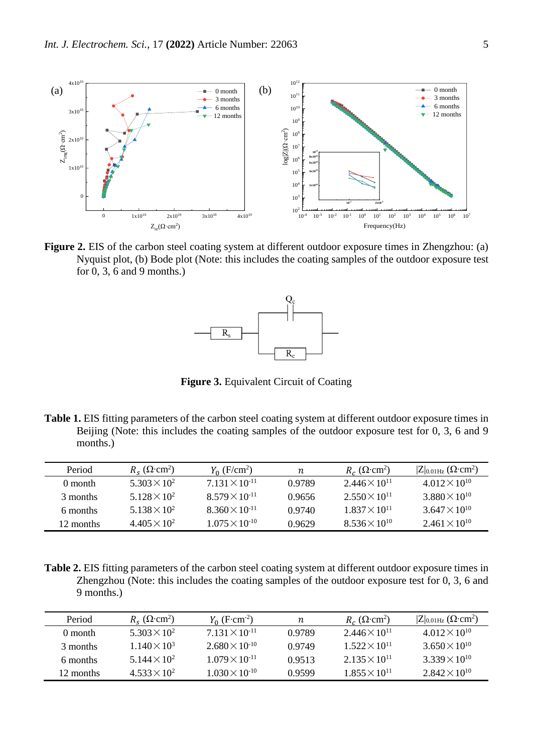

**Figure 2.** EIS of the carbon steel coating system at different outdoor exposure times in Zhengzhou: (a) Nyquist plot, (b) Bode plot (Note: this includes the coating samples of the outdoor exposure test for 0, 3, 6 and 9 months.)



**Figure 3.** Equivalent Circuit of Coating

**Table 1.** EIS fitting parameters of the carbon steel coating system at different outdoor exposure times in Beijing (Note: this includes the coating samples of the outdoor exposure test for 0, 3, 6 and 9 months.)

| Period    | $R_{\rm s}$ ( $\Omega$ ·cm <sup>2</sup> ) | $Y_0$ (F/cm <sup>2</sup> ) | n      | $R_c$ ( $\Omega$ ·cm <sup>2</sup> ) | $ Z _{0.01\text{Hz}}$ ( $\Omega$ ·cm <sup>2</sup> ) |
|-----------|-------------------------------------------|----------------------------|--------|-------------------------------------|-----------------------------------------------------|
| 0 month   | $5.303 \times 10^{2}$                     | $7.131 \times 10^{-11}$    | 0.9789 | $2.446 \times 10^{11}$              | $4.012 \times 10^{10}$                              |
| 3 months  | $5.128 \times 10^{2}$                     | $8.579 \times 10^{-11}$    | 0.9656 | $2.550 \times 10^{11}$              | $3.880 \times 10^{10}$                              |
| 6 months  | $5.138 \times 10^{2}$                     | $8.360 \times 10^{-11}$    | 0.9740 | $1.837 \times 10^{11}$              | $3.647 \times 10^{10}$                              |
| 12 months | $4.405 \times 10^{2}$                     | $1.075 \times 10^{-10}$    | 0.9629 | $8.536 \times 10^{10}$              | $2.461 \times 10^{10}$                              |

**Table 2.** EIS fitting parameters of the carbon steel coating system at different outdoor exposure times in Zhengzhou (Note: this includes the coating samples of the outdoor exposure test for 0, 3, 6 and 9 months.)

| Period    | $R_s$ ( $\Omega$ ·cm <sup>2</sup> ) | $Y_0$ (F·cm <sup>-2</sup> ) | n      | $R_c$ ( $\Omega$ ·cm <sup>2</sup> ) | $ Z _{0.01\text{Hz}}$ ( $\Omega$ ·cm <sup>2</sup> ) |
|-----------|-------------------------------------|-----------------------------|--------|-------------------------------------|-----------------------------------------------------|
| 0 month   | $5.303 \times 10^{2}$               | $7.131 \times 10^{-11}$     | 0.9789 | $2.446 \times 10^{11}$              | $4.012 \times 10^{10}$                              |
| 3 months  | $1.140 \times 10^3$                 | $2.680 \times 10^{-10}$     | 0.9749 | $1.522 \times 10^{11}$              | $3.650 \times 10^{10}$                              |
| 6 months  | $5.144 \times 10^{2}$               | $1.079 \times 10^{-11}$     | 0.9513 | $2.135 \times 10^{11}$              | $3.339 \times 10^{10}$                              |
| 12 months | $4.533 \times 10^{2}$               | $1.030 \times 10^{-10}$     | 0.9599 | $1.855 \times 10^{11}$              | $2.842 \times 10^{10}$                              |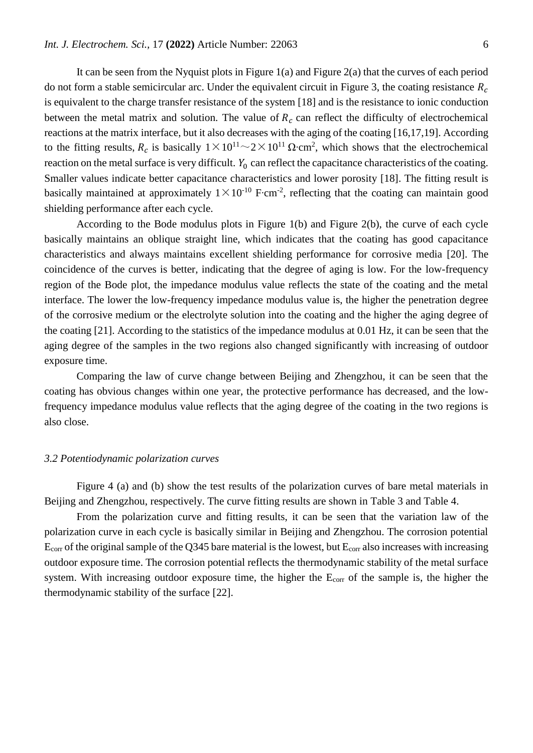It can be seen from the Nyquist plots in Figure  $1(a)$  and Figure  $2(a)$  that the curves of each period do not form a stable semicircular arc. Under the equivalent circuit in Figure 3, the coating resistance  $R_c$ is equivalent to the charge transfer resistance of the system [18] and is the resistance to ionic conduction between the metal matrix and solution. The value of  $R_c$  can reflect the difficulty of electrochemical reactions at the matrix interface, but it also decreases with the aging of the coating [16,17,19]. According to the fitting results,  $R_c$  is basically  $1 \times 10^{11} \sim 2 \times 10^{11} \Omega \cdot cm^2$ , which shows that the electrochemical reaction on the metal surface is very difficult.  $Y_0$  can reflect the capacitance characteristics of the coating. Smaller values indicate better capacitance characteristics and lower porosity [18]. The fitting result is basically maintained at approximately  $1 \times 10^{-10}$  F⋅cm<sup>-2</sup>, reflecting that the coating can maintain good shielding performance after each cycle.

According to the Bode modulus plots in Figure 1(b) and Figure 2(b), the curve of each cycle basically maintains an oblique straight line, which indicates that the coating has good capacitance characteristics and always maintains excellent shielding performance for corrosive media [20]. The coincidence of the curves is better, indicating that the degree of aging is low. For the low-frequency region of the Bode plot, the impedance modulus value reflects the state of the coating and the metal interface. The lower the low-frequency impedance modulus value is, the higher the penetration degree of the corrosive medium or the electrolyte solution into the coating and the higher the aging degree of the coating [21]. According to the statistics of the impedance modulus at 0.01 Hz, it can be seen that the aging degree of the samples in the two regions also changed significantly with increasing of outdoor exposure time.

Comparing the law of curve change between Beijing and Zhengzhou, it can be seen that the coating has obvious changes within one year, the protective performance has decreased, and the lowfrequency impedance modulus value reflects that the aging degree of the coating in the two regions is also close.

#### *3.2 Potentiodynamic polarization curves*

Figure 4 (a) and (b) show the test results of the polarization curves of bare metal materials in Beijing and Zhengzhou, respectively. The curve fitting results are shown in Table 3 and Table 4.

From the polarization curve and fitting results, it can be seen that the variation law of the polarization curve in each cycle is basically similar in Beijing and Zhengzhou. The corrosion potential Ecorr of the original sample of the Q345 bare material is the lowest, but Ecorr also increases with increasing outdoor exposure time. The corrosion potential reflects the thermodynamic stability of the metal surface system. With increasing outdoor exposure time, the higher the E<sub>corr</sub> of the sample is, the higher the thermodynamic stability of the surface [22].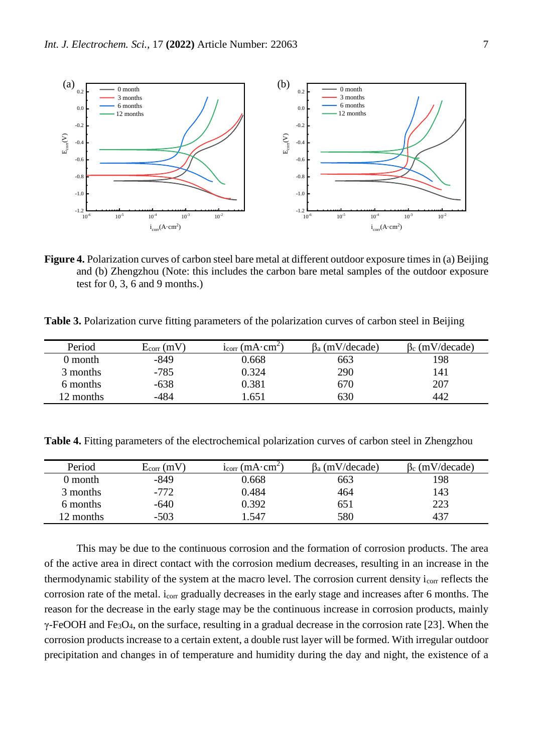

**Figure 4.** Polarization curves of carbon steel bare metal at different outdoor exposure times in (a) Beijing and (b) Zhengzhou (Note: this includes the carbon bare metal samples of the outdoor exposure test for 0, 3, 6 and 9 months.)

**Table 3.** Polarization curve fitting parameters of the polarization curves of carbon steel in Beijing

| Period    | $E_{corr}(mV)$ | $i_{corr}(mA \cdot cm^2)$ | $\beta_a$ (mV/decade) | $\beta_c$ (mV/decade) |
|-----------|----------------|---------------------------|-----------------------|-----------------------|
| 0 month   | $-849$         | 0.668                     | 663                   | 198                   |
| 3 months  | $-785$         | 0.324                     | 290                   | 141                   |
| 6 months  | $-638$         | 0.381                     | 670                   | 207                   |
| 12 months | -484           | .651                      | 630                   | 442                   |

**Table 4.** Fitting parameters of the electrochemical polarization curves of carbon steel in Zhengzhou

| Period    | $E_{corr}$ (mV) | $i_{corr}$ (mA $\cdot$ cm <sup>2</sup> ) | $\beta_a$ (mV/decade) | $\beta_c$ (mV/decade) |
|-----------|-----------------|------------------------------------------|-----------------------|-----------------------|
| 0 month   | $-849$          | 0.668                                    | 663                   | 198                   |
| 3 months  | $-772$          | 0.484                                    | 464                   | 143                   |
| 6 months  | $-640$          | ).392                                    | 651                   | 223                   |
| 12 months | $-503$          | .547                                     | 580                   | 437                   |

This may be due to the continuous corrosion and the formation of corrosion products. The area of the active area in direct contact with the corrosion medium decreases, resulting in an increase in the thermodynamic stability of the system at the macro level. The corrosion current density icorr reflects the corrosion rate of the metal. icorr gradually decreases in the early stage and increases after 6 months. The reason for the decrease in the early stage may be the continuous increase in corrosion products, mainly  $\gamma$ -FeOOH and Fe<sub>3</sub>O<sub>4</sub>, on the surface, resulting in a gradual decrease in the corrosion rate [23]. When the corrosion products increase to a certain extent, a double rust layer will be formed. With irregular outdoor precipitation and changes in of temperature and humidity during the day and night, the existence of a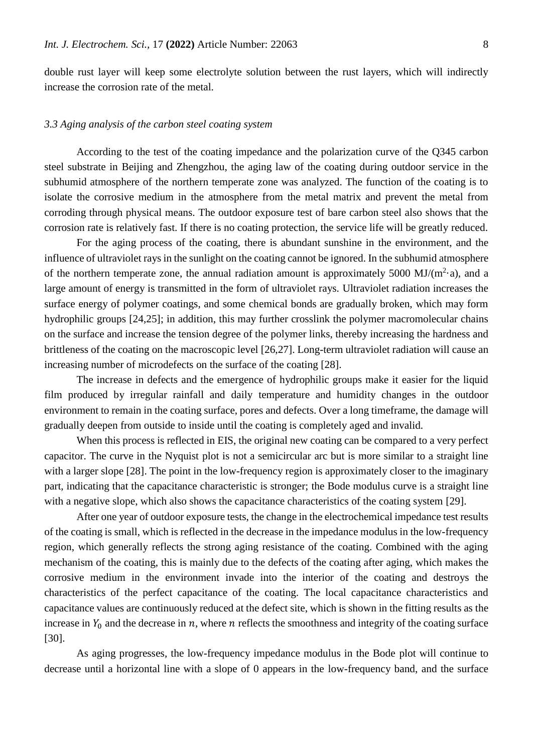double rust layer will keep some electrolyte solution between the rust layers, which will indirectly increase the corrosion rate of the metal.

## *3.3 Aging analysis of the carbon steel coating system*

According to the test of the coating impedance and the polarization curve of the Q345 carbon steel substrate in Beijing and Zhengzhou, the aging law of the coating during outdoor service in the subhumid atmosphere of the northern temperate zone was analyzed. The function of the coating is to isolate the corrosive medium in the atmosphere from the metal matrix and prevent the metal from corroding through physical means. The outdoor exposure test of bare carbon steel also shows that the corrosion rate is relatively fast. If there is no coating protection, the service life will be greatly reduced.

For the aging process of the coating, there is abundant sunshine in the environment, and the influence of ultraviolet rays in the sunlight on the coating cannot be ignored. In the subhumid atmosphere of the northern temperate zone, the annual radiation amount is approximately 5000 MJ/ $(m^2 \cdot a)$ , and a large amount of energy is transmitted in the form of ultraviolet rays. Ultraviolet radiation increases the surface energy of polymer coatings, and some chemical bonds are gradually broken, which may form hydrophilic groups [24,25]; in addition, this may further crosslink the polymer macromolecular chains on the surface and increase the tension degree of the polymer links, thereby increasing the hardness and brittleness of the coating on the macroscopic level [26,27]. Long-term ultraviolet radiation will cause an increasing number of microdefects on the surface of the coating [28].

The increase in defects and the emergence of hydrophilic groups make it easier for the liquid film produced by irregular rainfall and daily temperature and humidity changes in the outdoor environment to remain in the coating surface, pores and defects. Over a long timeframe, the damage will gradually deepen from outside to inside until the coating is completely aged and invalid.

When this process is reflected in EIS, the original new coating can be compared to a very perfect capacitor. The curve in the Nyquist plot is not a semicircular arc but is more similar to a straight line with a larger slope [28]. The point in the low-frequency region is approximately closer to the imaginary part, indicating that the capacitance characteristic is stronger; the Bode modulus curve is a straight line with a negative slope, which also shows the capacitance characteristics of the coating system [29].

After one year of outdoor exposure tests, the change in the electrochemical impedance test results of the coating is small, which is reflected in the decrease in the impedance modulus in the low-frequency region, which generally reflects the strong aging resistance of the coating. Combined with the aging mechanism of the coating, this is mainly due to the defects of the coating after aging, which makes the corrosive medium in the environment invade into the interior of the coating and destroys the characteristics of the perfect capacitance of the coating. The local capacitance characteristics and capacitance values are continuously reduced at the defect site, which is shown in the fitting results as the increase in  $Y_0$  and the decrease in  $n$ , where  $n$  reflects the smoothness and integrity of the coating surface [30].

As aging progresses, the low-frequency impedance modulus in the Bode plot will continue to decrease until a horizontal line with a slope of 0 appears in the low-frequency band, and the surface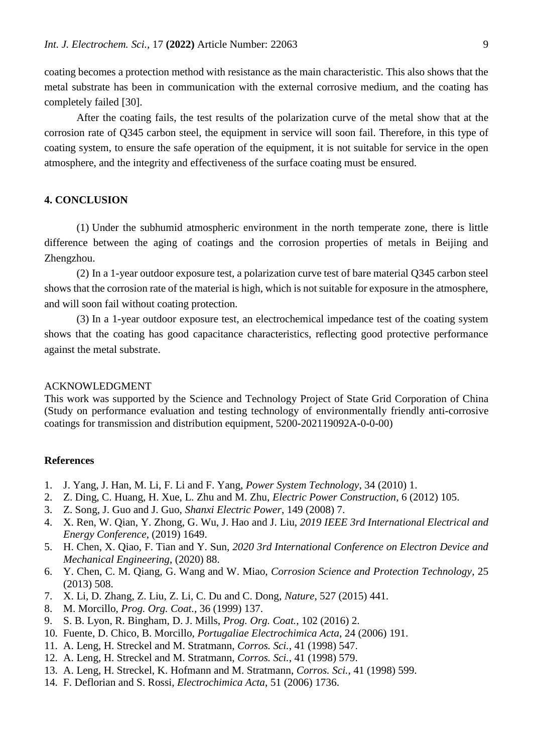coating becomes a protection method with resistance as the main characteristic. This also shows that the metal substrate has been in communication with the external corrosive medium, and the coating has completely failed [30].

After the coating fails, the test results of the polarization curve of the metal show that at the corrosion rate of Q345 carbon steel, the equipment in service will soon fail. Therefore, in this type of coating system, to ensure the safe operation of the equipment, it is not suitable for service in the open atmosphere, and the integrity and effectiveness of the surface coating must be ensured.

# **4. [CONCLUSION](file:///C:/Users/12085/AppData/Local/youdao/dict/Application/8.5.3.0/resultui/html/index.html%23/javascript:;)**

(1) Under the subhumid atmospheric environment in the north temperate zone, there is little difference between the aging of coatings and the corrosion properties of metals in Beijing and Zhengzhou.

(2) In a 1-year outdoor exposure test, a polarization curve test of bare material Q345 carbon steel shows that the corrosion rate of the material is high, which is not suitable for exposure in the atmosphere, and will soon fail without coating protection.

(3) In a 1-year outdoor exposure test, an electrochemical impedance test of the coating system shows that the coating has good capacitance characteristics, reflecting good protective performance against the metal substrate.

# ACKNOWLEDGMENT

This work was supported by the Science and Technology Project of State Grid Corporation of China (Study on performance evaluation and testing technology of environmentally friendly anti-corrosive coatings for transmission and distribution equipment, 5200-202119092A-0-0-00)

#### **References**

- 1. J. Yang, J. Han, M. Li, F. Li and F. Yang, *Power System Technology*, 34 (2010) 1.
- 2. Z. Ding, C. Huang, H. Xue, L. Zhu and M. Zhu, *Electric Power Construction*, 6 (2012) 105.
- 3. Z. Song, J. Guo and J. Guo, *Shanxi Electric Power*, 149 (2008) 7.
- 4. X. Ren, W. Qian, Y. Zhong, G. Wu, J. Hao and J. Liu, *2019 IEEE 3rd International Electrical and Energy Conference*, (2019) 1649.
- 5. H. Chen, X. Qiao, F. Tian and Y. Sun, *2020 3rd International Conference on Electron Device and Mechanical Engineering*, (2020) 88.
- 6. Y. Chen, C. M. Qiang, G. Wang and W. Miao, *Corrosion Science and Protection Technology*, 25 (2013) 508.
- 7. X. Li, D. Zhang, Z. Liu, Z. Li, C. Du and C. Dong, *Nature*, 527 (2015) 441.
- 8. M. Morcillo, *Prog. Org. Coat.*, 36 (1999) 137.
- 9. S. B. Lyon, R. Bingham, D. J. Mills, *Prog. Org. Coat.*, 102 (2016) 2.
- 10. Fuente, D. Chico, B. Morcillo, *Portugaliae Electrochimica Acta*, 24 (2006) 191.
- 11. A. Leng, H. Streckel and M. Stratmann, *Corros. Sci.*, 41 (1998) 547.
- 12. A. Leng, H. Streckel and M. Stratmann, *Corros. Sci.*, 41 (1998) 579.
- 13. A. Leng, H. Streckel, K. Hofmann and M. Stratmann, *Corros. Sci.*, 41 (1998) 599.
- 14. F. Deflorian and S. Rossi, *Electrochimica Acta*, 51 (2006) 1736.